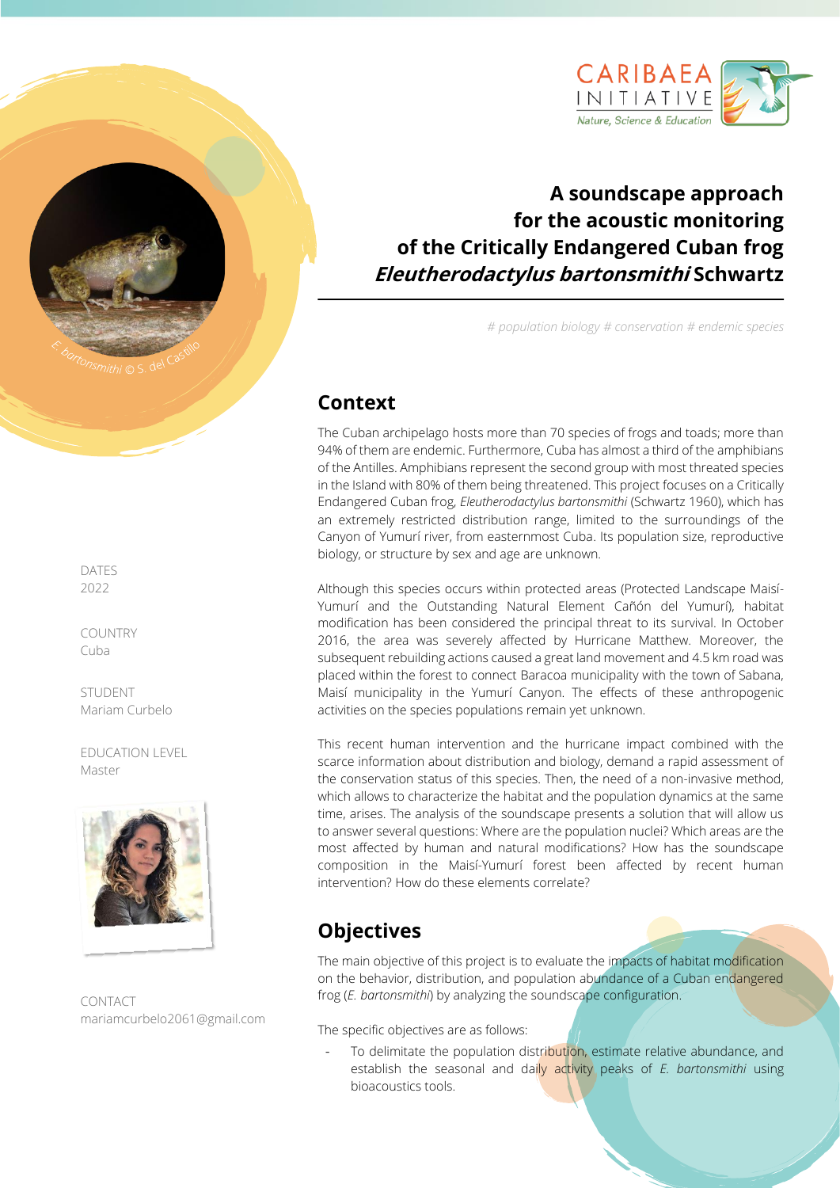

# **A soundscape approach for the acoustic monitoring of the Critically Endangered Cuban frog Eleutherodactylus bartonsmithi Schwartz**

*# population biology # conservation # endemic species*

### **Context**

The Cuban archipelago hosts more than 70 species of frogs and toads; more than 94% of them are endemic. Furthermore, Cuba has almost a third of the amphibians of the Antilles. Amphibians represent the second group with most threated species in the Island with 80% of them being threatened. This project focuses on a Critically Endangered Cuban frog, *Eleutherodactylus bartonsmithi* (Schwartz 1960), which has an extremely restricted distribution range, limited to the surroundings of the Canyon of Yumurí river, from easternmost Cuba. Its population size, reproductive biology, or structure by sex and age are unknown.

Although this species occurs within protected areas (Protected Landscape Maisí-Yumurí and the Outstanding Natural Element Cañón del Yumurí), habitat modification has been considered the principal threat to its survival. In October 2016, the area was severely affected by Hurricane Matthew. Moreover, the subsequent rebuilding actions caused a great land movement and 4.5 km road was placed within the forest to connect Baracoa municipality with the town of Sabana, Maisí municipality in the Yumurí Canyon. The effects of these anthropogenic activities on the species populations remain yet unknown.

This recent human intervention and the hurricane impact combined with the scarce information about distribution and biology, demand a rapid assessment of the conservation status of this species. Then, the need of a non-invasive method, which allows to characterize the habitat and the population dynamics at the same time, arises. The analysis of the soundscape presents a solution that will allow us to answer several questions: Where are the population nuclei? Which areas are the most affected by human and natural modifications? How has the soundscape composition in the Maisí-Yumurí forest been affected by recent human intervention? How do these elements correlate?

### **Objectives**

The main objective of this project is to evaluate the impacts of habitat modification on the behavior, distribution, and population abundance of a Cuban endangered frog (*E. bartonsmithi*) by analyzing the soundscape configuration.

The specific objectives are as follows:

To delimitate the population distribution, estimate relative abundance, and establish the seasonal and daily activity peaks of *E. bartonsmithi* using bioacoustics tools.

DATES 2022

COUNTRY Cuba

**STUDENT** Mariam Curbelo

EDUCATION LEVEL Master



CONTACT mariamcurbelo2061@gmail.com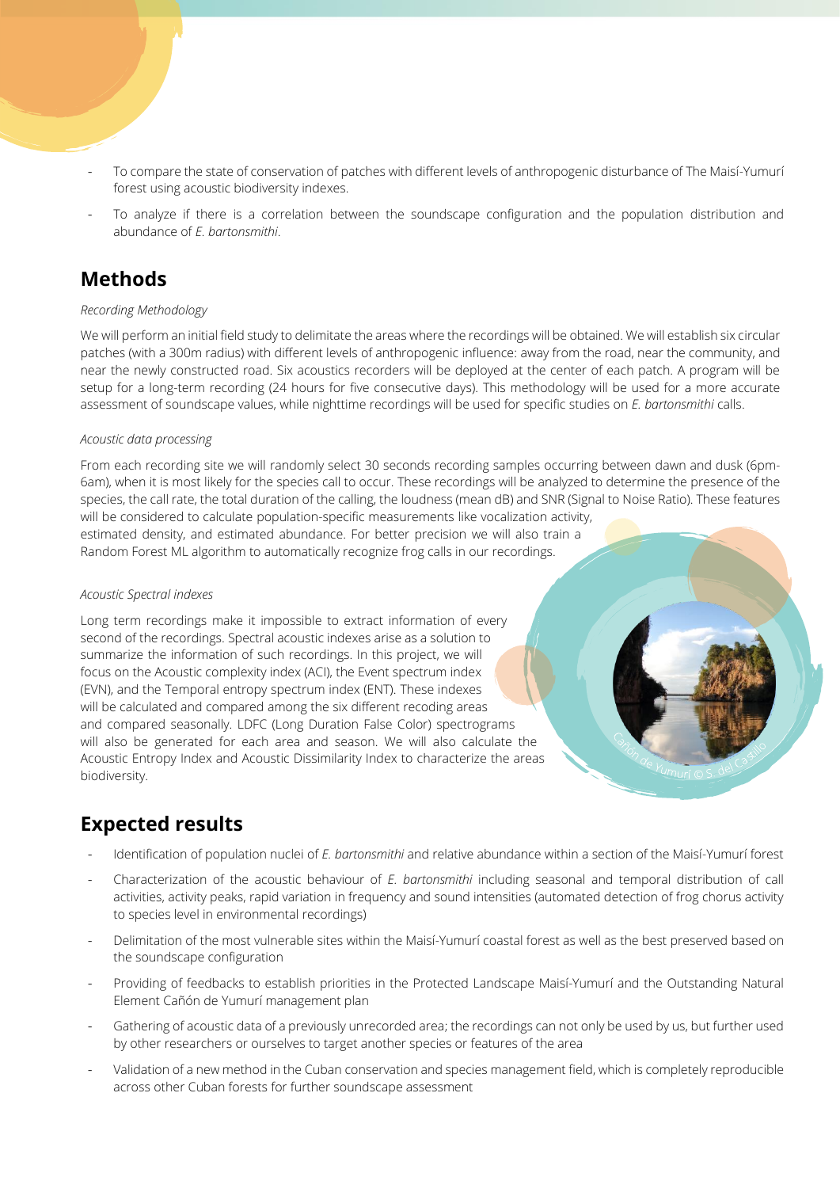- To compare the state of conservation of patches with different levels of anthropogenic disturbance of The Maisí-Yumurí forest using acoustic biodiversity indexes.
- To analyze if there is a correlation between the soundscape configuration and the population distribution and abundance of *E. bartonsmithi*.

## **Methods**

#### *Recording Methodology*

We will perform an initial field study to delimitate the areas where the recordings will be obtained. We will establish six circular patches (with a 300m radius) with different levels of anthropogenic influence: away from the road, near the community, and near the newly constructed road. Six acoustics recorders will be deployed at the center of each patch. A program will be setup for a long-term recording (24 hours for five consecutive days). This methodology will be used for a more accurate assessment of soundscape values, while nighttime recordings will be used for specific studies on *E. bartonsmithi* calls.

#### *Acoustic data processing*

From each recording site we will randomly select 30 seconds recording samples occurring between dawn and dusk (6pm-6am), when it is most likely for the species call to occur. These recordings will be analyzed to determine the presence of the species, the call rate, the total duration of the calling, the loudness (mean dB) and SNR (Signal to Noise Ratio). These features will be considered to calculate population-specific measurements like vocalization activity,

estimated density, and estimated abundance. For better precision we will also train a Random Forest ML algorithm to automatically recognize frog calls in our recordings.

#### *Acoustic Spectral indexes*

Long term recordings make it impossible to extract information of every second of the recordings. Spectral acoustic indexes arise as a solution to summarize the information of such recordings. In this project, we will focus on the Acoustic complexity index (ACI), the Event spectrum index (EVN), and the Temporal entropy spectrum index (ENT). These indexes will be calculated and compared among the six different recoding areas and compared seasonally. LDFC (Long Duration False Color) spectrograms will also be generated for each area and season. We will also calculate the Acoustic Entropy Index and Acoustic Dissimilarity Index to characterize the areas biodiversity.

### **Expected results**

- Identification of population nuclei of *E. bartonsmithi* and relative abundance within a section of the Maisí-Yumurí forest
- Characterization of the acoustic behaviour of *E. bartonsmithi* including seasonal and temporal distribution of call activities, activity peaks, rapid variation in frequency and sound intensities (automated detection of frog chorus activity to species level in environmental recordings)
- Delimitation of the most vulnerable sites within the Maisí-Yumurí coastal forest as well as the best preserved based on the soundscape configuration
- Providing of feedbacks to establish priorities in the Protected Landscape Maisí-Yumurí and the Outstanding Natural Element Cañón de Yumurí management plan
- Gathering of acoustic data of a previously unrecorded area; the recordings can not only be used by us, but further used by other researchers or ourselves to target another species or features of the area
- Validation of a new method in the Cuban conservation and species management field, which is completely reproducible across other Cuban forests for further soundscape assessment